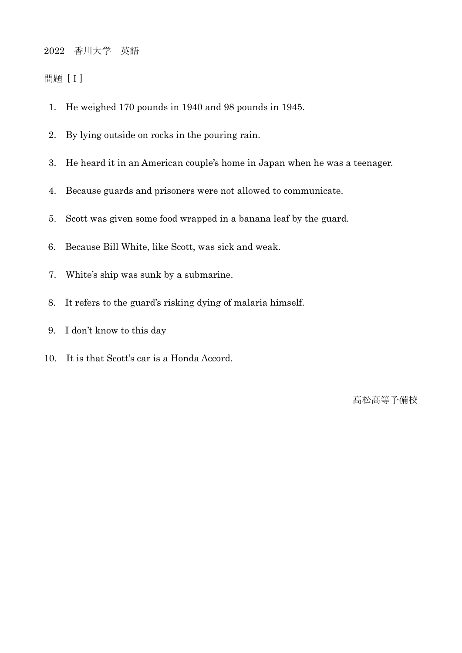## 2022 香川大学 英語

## 問題 [Ⅰ]

- 1. He weighed 170 pounds in 1940 and 98 pounds in 1945.
- 2. By lying outside on rocks in the pouring rain.
- 3. He heard it in an American couple's home in Japan when he was a teenager.
- 4. Because guards and prisoners were not allowed to communicate.
- 5. Scott was given some food wrapped in a banana leaf by the guard.
- 6. Because Bill White, like Scott, was sick and weak.
- 7. White's ship was sunk by a submarine.
- 8. It refers to the guard's risking dying of malaria himself.
- 9. I don't know to this day
- 10. It is that Scott's car is a Honda Accord.

高松高等予備校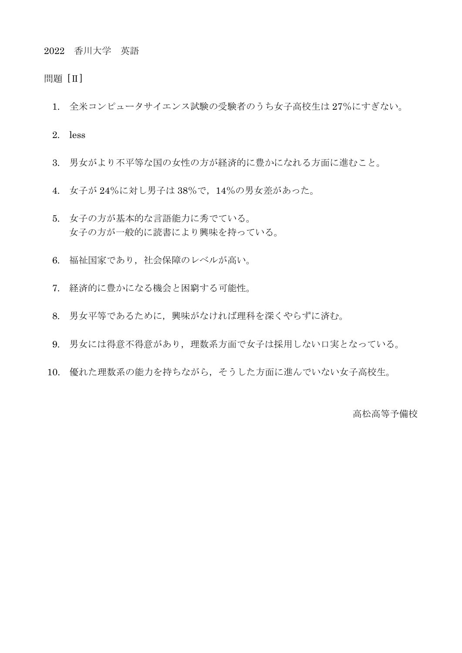2022 香川大学 英語

問題 [Ⅱ]

- 1. 全米コンピュータサイエンス試験の受験者のうち女子高校生は 27%にすぎない。
- 2. less
- 3. 男女がより不平等な国の女性の方が経済的に豊かになれる方面に進むこと。
- 4. 女子が 24%に対し男子は 38%で,14%の男女差があった。
- 5. 女子の方が基本的な言語能力に秀でている。 女子の方が一般的に読書により興味を持っている。
- 6. 福祉国家であり,社会保障のレベルが高い。
- 7. 経済的に豊かになる機会と困窮する可能性。
- 8. 男女平等であるために,興味がなければ理科を深くやらずに済む。
- 9. 男女には得意不得意があり,理数系方面で女子は採用しない口実となっている。
- 10. 優れた理数系の能力を持ちながら,そうした方面に進んでいない女子高校生。

高松高等予備校